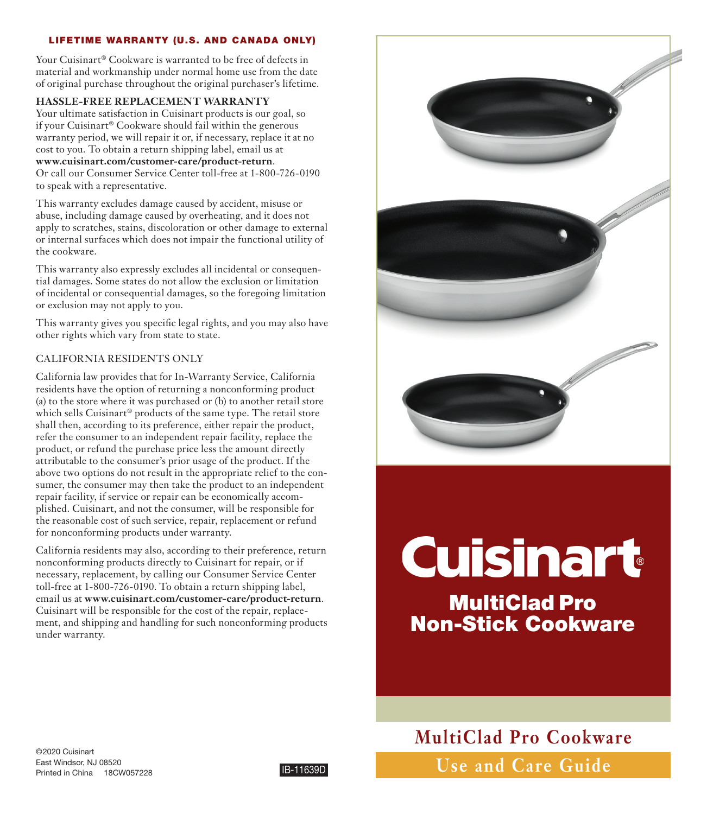# LIFETIME WARRANTY (U.S. AND CANADA ONLY)

Your Cuisinart® Cookware is warranted to be free of defects in material and workmanship under normal home use from the date of original purchase throughout the original purchaser's lifetime.

# **HASSLE-FREE REPLACEMENT WARRANTY**

Your ultimate satisfaction in Cuisinart products is our goal, so if your Cuisinart® Cookware should fail within the generous warranty period, we will repair it or, if necessary, replace it at no cost to you. To obtain a return shipping label, email us at **www.cuisinart.com/customer-care/product-return**. Or call our Consumer Service Center toll-free at 1-800-726-0190 to speak with a representative.

This warranty excludes damage caused by accident, misuse or abuse, including damage caused by overheating, and it does not apply to scratches, stains, discoloration or other damage to external or internal surfaces which does not impair the functional utility of the cookware.

This warranty also expressly excludes all incidental or consequential damages. Some states do not allow the exclusion or limitation of incidental or consequential damages, so the foregoing limitation or exclusion may not apply to you.

This warranty gives you specific legal rights, and you may also have other rights which vary from state to state.

# CALIFORNIA RESIDENTS ONLY

California law provides that for In-Warranty Service, California residents have the option of returning a nonconforming product (a) to the store where it was purchased or (b) to another retail store which sells Cuisinart® products of the same type. The retail store shall then, according to its preference, either repair the product, refer the consumer to an independent repair facility, replace the product, or refund the purchase price less the amount directly attributable to the consumer's prior usage of the product. If the above two options do not result in the appropriate relief to the consumer, the consumer may then take the product to an independent repair facility, if service or repair can be economically accomplished. Cuisinart, and not the consumer, will be responsible for the reasonable cost of such service, repair, replacement or refund for nonconforming products under warranty.

California residents may also, according to their preference, return nonconforming products directly to Cuisinart for repair, or if necessary, replacement, by calling our Consumer Service Center toll-free at 1-800-726-0190. To obtain a return shipping label, email us at **www.cuisinart.com/customer-care/product-return**. Cuisinart will be responsible for the cost of the repair, replacement, and shipping and handling for such nonconforming products under warranty.



# **Cuisinart**

MultiClad Pro Non-Stick Cookware

**Use and Care Guide MultiClad Pro Cookware**

©2020 Cuisinart East Windsor, NJ 08520 Printed in China 18CW057228 IB-11639D